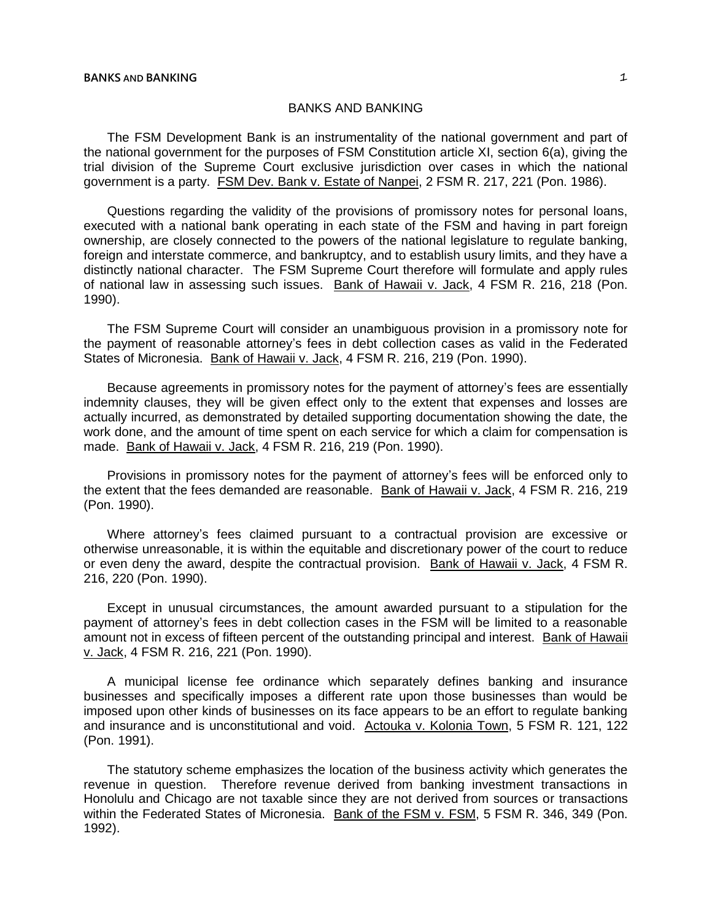The FSM Development Bank is an instrumentality of the national government and part of the national government for the purposes of FSM Constitution article XI, section 6(a), giving the trial division of the Supreme Court exclusive jurisdiction over cases in which the national government is a party. FSM Dev. Bank v. Estate of Nanpei, 2 FSM R. 217, 221 (Pon. 1986).

Questions regarding the validity of the provisions of promissory notes for personal loans, executed with a national bank operating in each state of the FSM and having in part foreign ownership, are closely connected to the powers of the national legislature to regulate banking, foreign and interstate commerce, and bankruptcy, and to establish usury limits, and they have a distinctly national character. The FSM Supreme Court therefore will formulate and apply rules of national law in assessing such issues. Bank of Hawaii v. Jack, 4 FSM R. 216, 218 (Pon. 1990).

The FSM Supreme Court will consider an unambiguous provision in a promissory note for the payment of reasonable attorney's fees in debt collection cases as valid in the Federated States of Micronesia. Bank of Hawaii v. Jack, 4 FSM R. 216, 219 (Pon. 1990).

Because agreements in promissory notes for the payment of attorney's fees are essentially indemnity clauses, they will be given effect only to the extent that expenses and losses are actually incurred, as demonstrated by detailed supporting documentation showing the date, the work done, and the amount of time spent on each service for which a claim for compensation is made. Bank of Hawaii v. Jack, 4 FSM R. 216, 219 (Pon. 1990).

Provisions in promissory notes for the payment of attorney's fees will be enforced only to the extent that the fees demanded are reasonable. Bank of Hawaii v. Jack, 4 FSM R. 216, 219 (Pon. 1990).

Where attorney's fees claimed pursuant to a contractual provision are excessive or otherwise unreasonable, it is within the equitable and discretionary power of the court to reduce or even deny the award, despite the contractual provision. Bank of Hawaii v. Jack, 4 FSM R. 216, 220 (Pon. 1990).

Except in unusual circumstances, the amount awarded pursuant to a stipulation for the payment of attorney's fees in debt collection cases in the FSM will be limited to a reasonable amount not in excess of fifteen percent of the outstanding principal and interest. Bank of Hawaii v. Jack, 4 FSM R. 216, 221 (Pon. 1990).

A municipal license fee ordinance which separately defines banking and insurance businesses and specifically imposes a different rate upon those businesses than would be imposed upon other kinds of businesses on its face appears to be an effort to regulate banking and insurance and is unconstitutional and void. Actouka v. Kolonia Town, 5 FSM R. 121, 122 (Pon. 1991).

The statutory scheme emphasizes the location of the business activity which generates the revenue in question. Therefore revenue derived from banking investment transactions in Honolulu and Chicago are not taxable since they are not derived from sources or transactions within the Federated States of Micronesia. Bank of the FSM v. FSM, 5 FSM R. 346, 349 (Pon. 1992).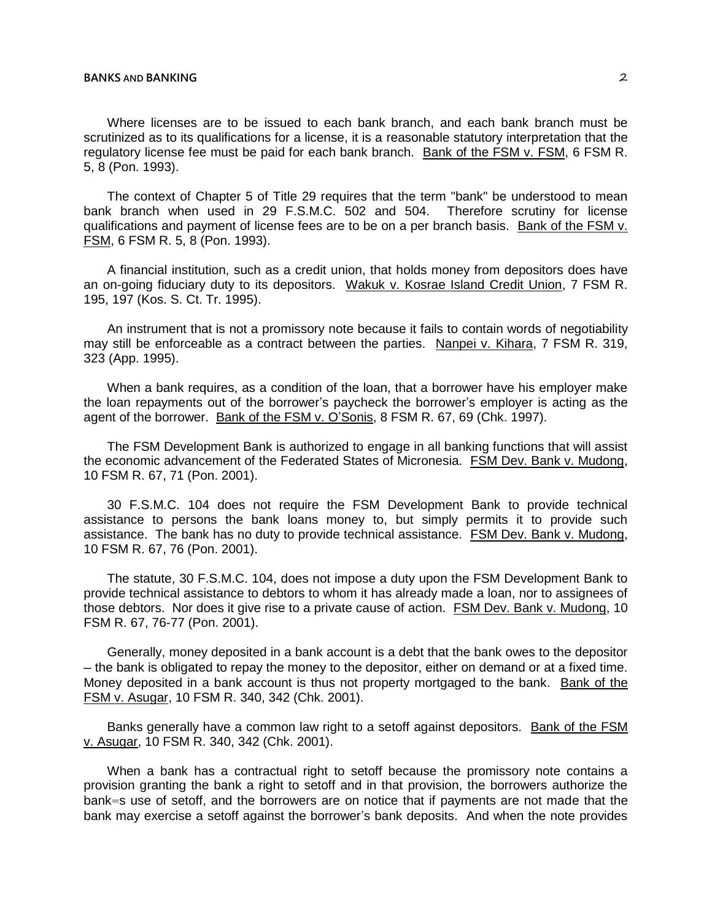5, 8 (Pon. 1993).

The context of Chapter 5 of Title 29 requires that the term "bank" be understood to mean bank branch when used in 29 F.S.M.C. 502 and 504. Therefore scrutiny for license qualifications and payment of license fees are to be on a per branch basis. Bank of the FSM v. FSM, 6 FSM R. 5, 8 (Pon. 1993).

A financial institution, such as a credit union, that holds money from depositors does have an on-going fiduciary duty to its depositors. Wakuk v. Kosrae Island Credit Union, 7 FSM R. 195, 197 (Kos. S. Ct. Tr. 1995).

An instrument that is not a promissory note because it fails to contain words of negotiability may still be enforceable as a contract between the parties. Nanpei v. Kihara, 7 FSM R. 319, 323 (App. 1995).

When a bank requires, as a condition of the loan, that a borrower have his employer make the loan repayments out of the borrower's paycheck the borrower's employer is acting as the agent of the borrower. Bank of the FSM v. O'Sonis, 8 FSM R. 67, 69 (Chk. 1997).

The FSM Development Bank is authorized to engage in all banking functions that will assist the economic advancement of the Federated States of Micronesia. FSM Dev. Bank v. Mudong, 10 FSM R. 67, 71 (Pon. 2001).

30 F.S.M.C. 104 does not require the FSM Development Bank to provide technical assistance to persons the bank loans money to, but simply permits it to provide such assistance. The bank has no duty to provide technical assistance. FSM Dev. Bank v. Mudong, 10 FSM R. 67, 76 (Pon. 2001).

The statute, 30 F.S.M.C. 104, does not impose a duty upon the FSM Development Bank to provide technical assistance to debtors to whom it has already made a loan, nor to assignees of those debtors. Nor does it give rise to a private cause of action. FSM Dev. Bank v. Mudong, 10 FSM R. 67, 76-77 (Pon. 2001).

Generally, money deposited in a bank account is a debt that the bank owes to the depositor ─ the bank is obligated to repay the money to the depositor, either on demand or at a fixed time. Money deposited in a bank account is thus not property mortgaged to the bank. Bank of the FSM v. Asugar, 10 FSM R. 340, 342 (Chk. 2001).

Banks generally have a common law right to a setoff against depositors. Bank of the FSM v. Asugar, 10 FSM R. 340, 342 (Chk. 2001).

When a bank has a contractual right to setoff because the promissory note contains a provision granting the bank a right to setoff and in that provision, the borrowers authorize the bank=s use of setoff, and the borrowers are on notice that if payments are not made that the bank may exercise a setoff against the borrower's bank deposits. And when the note provides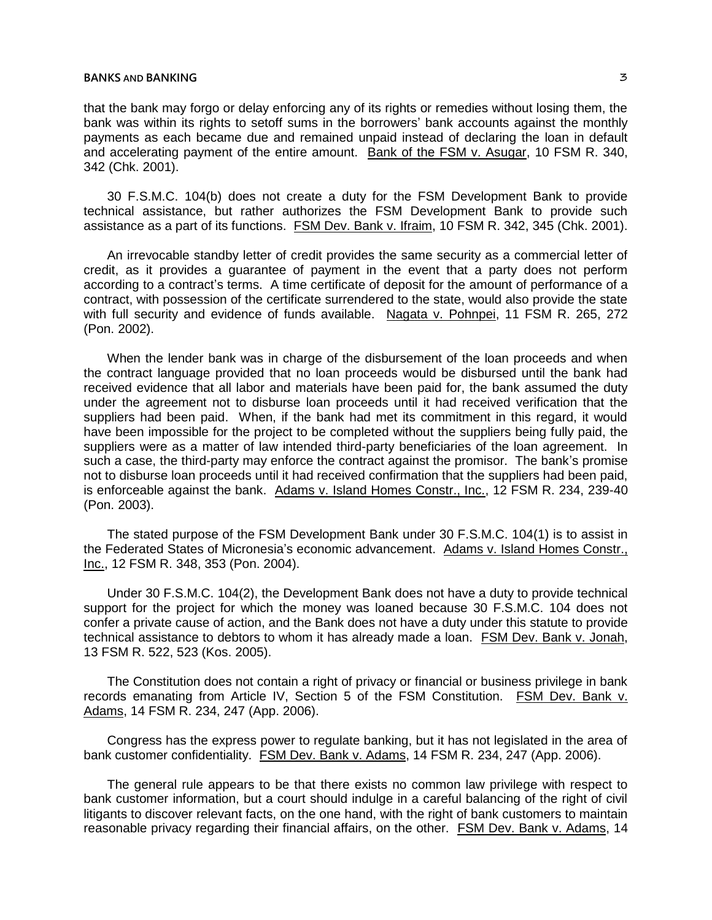### **BANKS** AND **BANKING**  $\overline{3}$

that the bank may forgo or delay enforcing any of its rights or remedies without losing them, the bank was within its rights to setoff sums in the borrowers' bank accounts against the monthly payments as each became due and remained unpaid instead of declaring the loan in default and accelerating payment of the entire amount. Bank of the FSM v. Asugar, 10 FSM R. 340, 342 (Chk. 2001).

30 F.S.M.C. 104(b) does not create a duty for the FSM Development Bank to provide technical assistance, but rather authorizes the FSM Development Bank to provide such assistance as a part of its functions. FSM Dev. Bank v. Ifraim, 10 FSM R. 342, 345 (Chk. 2001).

An irrevocable standby letter of credit provides the same security as a commercial letter of credit, as it provides a guarantee of payment in the event that a party does not perform according to a contract's terms. A time certificate of deposit for the amount of performance of a contract, with possession of the certificate surrendered to the state, would also provide the state with full security and evidence of funds available. Nagata v. Pohnpei, 11 FSM R. 265, 272 (Pon. 2002).

When the lender bank was in charge of the disbursement of the loan proceeds and when the contract language provided that no loan proceeds would be disbursed until the bank had received evidence that all labor and materials have been paid for, the bank assumed the duty under the agreement not to disburse loan proceeds until it had received verification that the suppliers had been paid. When, if the bank had met its commitment in this regard, it would have been impossible for the project to be completed without the suppliers being fully paid, the suppliers were as a matter of law intended third-party beneficiaries of the loan agreement. In such a case, the third-party may enforce the contract against the promisor. The bank's promise not to disburse loan proceeds until it had received confirmation that the suppliers had been paid, is enforceable against the bank. Adams v. Island Homes Constr., Inc., 12 FSM R. 234, 239-40 (Pon. 2003).

The stated purpose of the FSM Development Bank under 30 F.S.M.C. 104(1) is to assist in the Federated States of Micronesia's economic advancement. Adams v. Island Homes Constr., Inc., 12 FSM R. 348, 353 (Pon. 2004).

Under 30 F.S.M.C. 104(2), the Development Bank does not have a duty to provide technical support for the project for which the money was loaned because 30 F.S.M.C. 104 does not confer a private cause of action, and the Bank does not have a duty under this statute to provide technical assistance to debtors to whom it has already made a loan. FSM Dev. Bank v. Jonah, 13 FSM R. 522, 523 (Kos. 2005).

The Constitution does not contain a right of privacy or financial or business privilege in bank records emanating from Article IV, Section 5 of the FSM Constitution. FSM Dev. Bank v. Adams, 14 FSM R. 234, 247 (App. 2006).

Congress has the express power to regulate banking, but it has not legislated in the area of bank customer confidentiality. FSM Dev. Bank v. Adams, 14 FSM R. 234, 247 (App. 2006).

The general rule appears to be that there exists no common law privilege with respect to bank customer information, but a court should indulge in a careful balancing of the right of civil litigants to discover relevant facts, on the one hand, with the right of bank customers to maintain reasonable privacy regarding their financial affairs, on the other. FSM Dev. Bank v. Adams, 14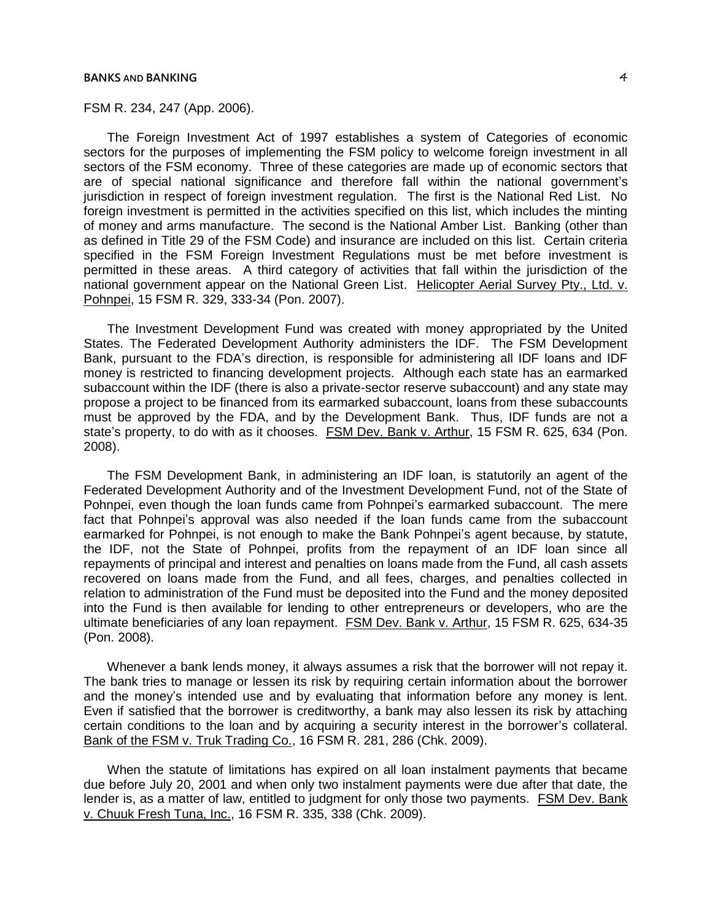### **BANKS** AND **BANKING**  $\overline{4}$

FSM R. 234, 247 (App. 2006).

The Foreign Investment Act of 1997 establishes a system of Categories of economic sectors for the purposes of implementing the FSM policy to welcome foreign investment in all sectors of the FSM economy. Three of these categories are made up of economic sectors that are of special national significance and therefore fall within the national government's jurisdiction in respect of foreign investment regulation. The first is the National Red List. No foreign investment is permitted in the activities specified on this list, which includes the minting of money and arms manufacture. The second is the National Amber List. Banking (other than as defined in Title 29 of the FSM Code) and insurance are included on this list. Certain criteria specified in the FSM Foreign Investment Regulations must be met before investment is permitted in these areas. A third category of activities that fall within the jurisdiction of the national government appear on the National Green List. Helicopter Aerial Survey Pty., Ltd. v. Pohnpei, 15 FSM R. 329, 333-34 (Pon. 2007).

The Investment Development Fund was created with money appropriated by the United States. The Federated Development Authority administers the IDF. The FSM Development Bank, pursuant to the FDA's direction, is responsible for administering all IDF loans and IDF money is restricted to financing development projects. Although each state has an earmarked subaccount within the IDF (there is also a private-sector reserve subaccount) and any state may propose a project to be financed from its earmarked subaccount, loans from these subaccounts must be approved by the FDA, and by the Development Bank. Thus, IDF funds are not a state's property, to do with as it chooses. FSM Dev. Bank v. Arthur, 15 FSM R. 625, 634 (Pon. 2008).

The FSM Development Bank, in administering an IDF loan, is statutorily an agent of the Federated Development Authority and of the Investment Development Fund, not of the State of Pohnpei, even though the loan funds came from Pohnpei's earmarked subaccount. The mere fact that Pohnpei's approval was also needed if the loan funds came from the subaccount earmarked for Pohnpei, is not enough to make the Bank Pohnpei's agent because, by statute, the IDF, not the State of Pohnpei, profits from the repayment of an IDF loan since all repayments of principal and interest and penalties on loans made from the Fund, all cash assets recovered on loans made from the Fund, and all fees, charges, and penalties collected in relation to administration of the Fund must be deposited into the Fund and the money deposited into the Fund is then available for lending to other entrepreneurs or developers, who are the ultimate beneficiaries of any loan repayment. FSM Dev. Bank v. Arthur, 15 FSM R. 625, 634-35 (Pon. 2008).

Whenever a bank lends money, it always assumes a risk that the borrower will not repay it. The bank tries to manage or lessen its risk by requiring certain information about the borrower and the money's intended use and by evaluating that information before any money is lent. Even if satisfied that the borrower is creditworthy, a bank may also lessen its risk by attaching certain conditions to the loan and by acquiring a security interest in the borrower's collateral. Bank of the FSM v. Truk Trading Co., 16 FSM R. 281, 286 (Chk. 2009).

When the statute of limitations has expired on all loan instalment payments that became due before July 20, 2001 and when only two instalment payments were due after that date, the lender is, as a matter of law, entitled to judgment for only those two payments. FSM Dev. Bank v. Chuuk Fresh Tuna, Inc., 16 FSM R. 335, 338 (Chk. 2009).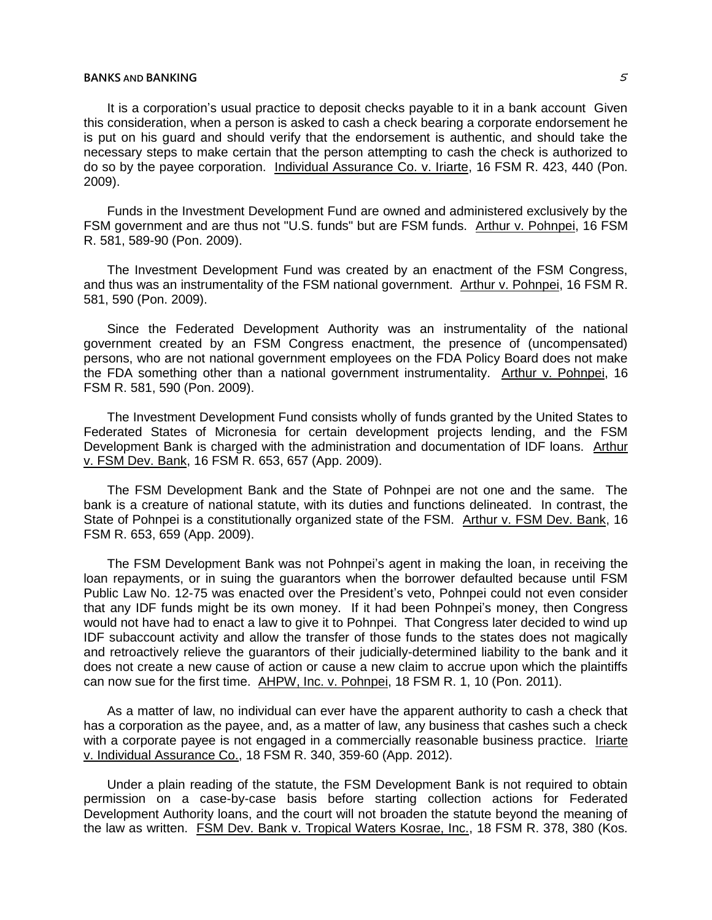It is a corporation's usual practice to deposit checks payable to it in a bank account Given this consideration, when a person is asked to cash a check bearing a corporate endorsement he is put on his guard and should verify that the endorsement is authentic, and should take the necessary steps to make certain that the person attempting to cash the check is authorized to do so by the payee corporation. Individual Assurance Co. v. Iriarte, 16 FSM R. 423, 440 (Pon. 2009).

Funds in the Investment Development Fund are owned and administered exclusively by the FSM government and are thus not "U.S. funds" but are FSM funds. Arthur v. Pohnpei, 16 FSM R. 581, 589-90 (Pon. 2009).

The Investment Development Fund was created by an enactment of the FSM Congress, and thus was an instrumentality of the FSM national government. Arthur v. Pohnpei, 16 FSM R. 581, 590 (Pon. 2009).

Since the Federated Development Authority was an instrumentality of the national government created by an FSM Congress enactment, the presence of (uncompensated) persons, who are not national government employees on the FDA Policy Board does not make the FDA something other than a national government instrumentality. Arthur v. Pohnpei, 16 FSM R. 581, 590 (Pon. 2009).

The Investment Development Fund consists wholly of funds granted by the United States to Federated States of Micronesia for certain development projects lending, and the FSM Development Bank is charged with the administration and documentation of IDF loans. Arthur v. FSM Dev. Bank, 16 FSM R. 653, 657 (App. 2009).

The FSM Development Bank and the State of Pohnpei are not one and the same. The bank is a creature of national statute, with its duties and functions delineated. In contrast, the State of Pohnpei is a constitutionally organized state of the FSM. Arthur v. FSM Dev. Bank, 16 FSM R. 653, 659 (App. 2009).

The FSM Development Bank was not Pohnpei's agent in making the loan, in receiving the loan repayments, or in suing the guarantors when the borrower defaulted because until FSM Public Law No. 12-75 was enacted over the President's veto, Pohnpei could not even consider that any IDF funds might be its own money. If it had been Pohnpei's money, then Congress would not have had to enact a law to give it to Pohnpei. That Congress later decided to wind up IDF subaccount activity and allow the transfer of those funds to the states does not magically and retroactively relieve the guarantors of their judicially-determined liability to the bank and it does not create a new cause of action or cause a new claim to accrue upon which the plaintiffs can now sue for the first time. AHPW, Inc. v. Pohnpei, 18 FSM R. 1, 10 (Pon. 2011).

As a matter of law, no individual can ever have the apparent authority to cash a check that has a corporation as the payee, and, as a matter of law, any business that cashes such a check with a corporate payee is not engaged in a commercially reasonable business practice. Iriarte v. Individual Assurance Co., 18 FSM R. 340, 359-60 (App. 2012).

Under a plain reading of the statute, the FSM Development Bank is not required to obtain permission on a case-by-case basis before starting collection actions for Federated Development Authority loans, and the court will not broaden the statute beyond the meaning of the law as written. FSM Dev. Bank v. Tropical Waters Kosrae, Inc., 18 FSM R. 378, 380 (Kos.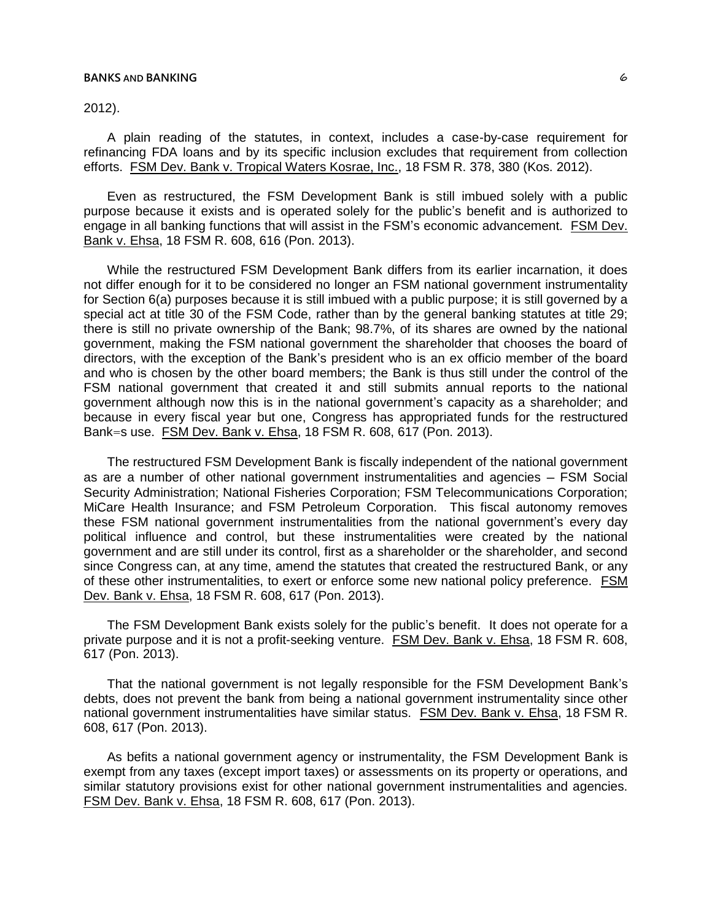2012).

A plain reading of the statutes, in context, includes a case-by-case requirement for refinancing FDA loans and by its specific inclusion excludes that requirement from collection efforts. FSM Dev. Bank v. Tropical Waters Kosrae, Inc., 18 FSM R. 378, 380 (Kos. 2012).

Even as restructured, the FSM Development Bank is still imbued solely with a public purpose because it exists and is operated solely for the public's benefit and is authorized to engage in all banking functions that will assist in the FSM's economic advancement. FSM Dev. Bank v. Ehsa, 18 FSM R. 608, 616 (Pon. 2013).

While the restructured FSM Development Bank differs from its earlier incarnation, it does not differ enough for it to be considered no longer an FSM national government instrumentality for Section 6(a) purposes because it is still imbued with a public purpose; it is still governed by a special act at title 30 of the FSM Code, rather than by the general banking statutes at title 29; there is still no private ownership of the Bank; 98.7%, of its shares are owned by the national government, making the FSM national government the shareholder that chooses the board of directors, with the exception of the Bank's president who is an ex officio member of the board and who is chosen by the other board members; the Bank is thus still under the control of the FSM national government that created it and still submits annual reports to the national government although now this is in the national government's capacity as a shareholder; and because in every fiscal year but one, Congress has appropriated funds for the restructured Bank=s use. FSM Dev. Bank v. Ehsa, 18 FSM R. 608, 617 (Pon. 2013).

The restructured FSM Development Bank is fiscally independent of the national government as are a number of other national government instrumentalities and agencies – FSM Social Security Administration; National Fisheries Corporation; FSM Telecommunications Corporation; MiCare Health Insurance; and FSM Petroleum Corporation. This fiscal autonomy removes these FSM national government instrumentalities from the national government's every day political influence and control, but these instrumentalities were created by the national government and are still under its control, first as a shareholder or the shareholder, and second since Congress can, at any time, amend the statutes that created the restructured Bank, or any of these other instrumentalities, to exert or enforce some new national policy preference. FSM Dev. Bank v. Ehsa, 18 FSM R. 608, 617 (Pon. 2013).

The FSM Development Bank exists solely for the public's benefit. It does not operate for a private purpose and it is not a profit-seeking venture. FSM Dev. Bank v. Ehsa, 18 FSM R. 608, 617 (Pon. 2013).

That the national government is not legally responsible for the FSM Development Bank's debts, does not prevent the bank from being a national government instrumentality since other national government instrumentalities have similar status. FSM Dev. Bank v. Ehsa, 18 FSM R. 608, 617 (Pon. 2013).

As befits a national government agency or instrumentality, the FSM Development Bank is exempt from any taxes (except import taxes) or assessments on its property or operations, and similar statutory provisions exist for other national government instrumentalities and agencies. FSM Dev. Bank v. Ehsa, 18 FSM R. 608, 617 (Pon. 2013).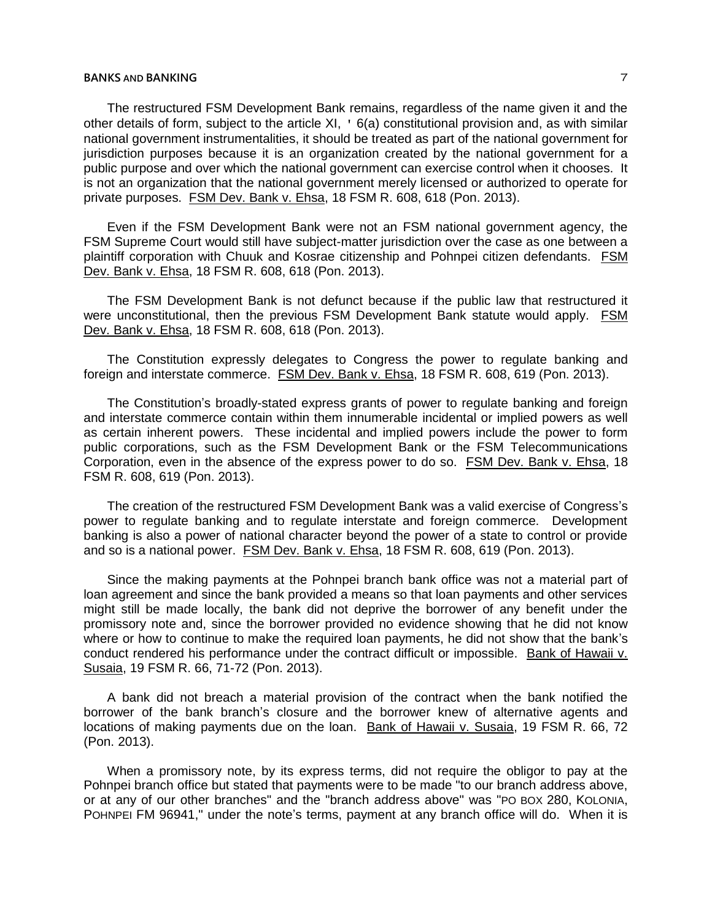# **BANKS** AND **BANKING**  $\overline{7}$

The restructured FSM Development Bank remains, regardless of the name given it and the other details of form, subject to the article XI, ' 6(a) constitutional provision and, as with similar national government instrumentalities, it should be treated as part of the national government for jurisdiction purposes because it is an organization created by the national government for a public purpose and over which the national government can exercise control when it chooses. It is not an organization that the national government merely licensed or authorized to operate for private purposes. FSM Dev. Bank v. Ehsa, 18 FSM R. 608, 618 (Pon. 2013).

Even if the FSM Development Bank were not an FSM national government agency, the FSM Supreme Court would still have subject-matter jurisdiction over the case as one between a plaintiff corporation with Chuuk and Kosrae citizenship and Pohnpei citizen defendants. FSM Dev. Bank v. Ehsa, 18 FSM R. 608, 618 (Pon. 2013).

The FSM Development Bank is not defunct because if the public law that restructured it were unconstitutional, then the previous FSM Development Bank statute would apply. FSM Dev. Bank v. Ehsa, 18 FSM R. 608, 618 (Pon. 2013).

The Constitution expressly delegates to Congress the power to regulate banking and foreign and interstate commerce. FSM Dev. Bank v. Ehsa, 18 FSM R. 608, 619 (Pon. 2013).

The Constitution's broadly-stated express grants of power to regulate banking and foreign and interstate commerce contain within them innumerable incidental or implied powers as well as certain inherent powers. These incidental and implied powers include the power to form public corporations, such as the FSM Development Bank or the FSM Telecommunications Corporation, even in the absence of the express power to do so. FSM Dev. Bank v. Ehsa, 18 FSM R. 608, 619 (Pon. 2013).

The creation of the restructured FSM Development Bank was a valid exercise of Congress's power to regulate banking and to regulate interstate and foreign commerce. Development banking is also a power of national character beyond the power of a state to control or provide and so is a national power. FSM Dev. Bank v. Ehsa, 18 FSM R. 608, 619 (Pon. 2013).

Since the making payments at the Pohnpei branch bank office was not a material part of loan agreement and since the bank provided a means so that loan payments and other services might still be made locally, the bank did not deprive the borrower of any benefit under the promissory note and, since the borrower provided no evidence showing that he did not know where or how to continue to make the required loan payments, he did not show that the bank's conduct rendered his performance under the contract difficult or impossible. Bank of Hawaii v. Susaia, 19 FSM R. 66, 71-72 (Pon. 2013).

A bank did not breach a material provision of the contract when the bank notified the borrower of the bank branch's closure and the borrower knew of alternative agents and locations of making payments due on the loan. Bank of Hawaii v. Susaia, 19 FSM R. 66, 72 (Pon. 2013).

When a promissory note, by its express terms, did not require the obligor to pay at the Pohnpei branch office but stated that payments were to be made "to our branch address above, or at any of our other branches" and the "branch address above" was "PO BOX 280, KOLONIA, POHNPEI FM 96941," under the note's terms, payment at any branch office will do. When it is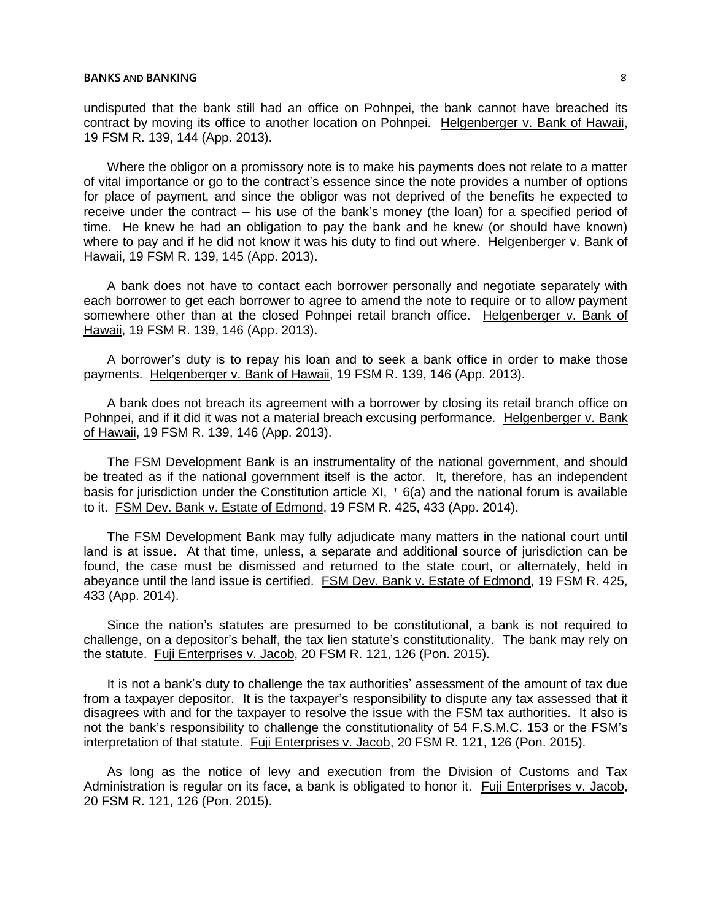undisputed that the bank still had an office on Pohnpei, the bank cannot have breached its contract by moving its office to another location on Pohnpei. Helgenberger v. Bank of Hawaii, 19 FSM R. 139, 144 (App. 2013).

Where the obligor on a promissory note is to make his payments does not relate to a matter of vital importance or go to the contract's essence since the note provides a number of options for place of payment, and since the obligor was not deprived of the benefits he expected to receive under the contract  $-$  his use of the bank's money (the loan) for a specified period of time. He knew he had an obligation to pay the bank and he knew (or should have known) where to pay and if he did not know it was his duty to find out where. Helgenberger v. Bank of Hawaii, 19 FSM R. 139, 145 (App. 2013).

A bank does not have to contact each borrower personally and negotiate separately with each borrower to get each borrower to agree to amend the note to require or to allow payment somewhere other than at the closed Pohnpei retail branch office. Helgenberger v. Bank of Hawaii, 19 FSM R. 139, 146 (App. 2013).

A borrower's duty is to repay his loan and to seek a bank office in order to make those payments. Helgenberger v. Bank of Hawaii, 19 FSM R. 139, 146 (App. 2013).

A bank does not breach its agreement with a borrower by closing its retail branch office on Pohnpei, and if it did it was not a material breach excusing performance. Helgenberger v. Bank of Hawaii, 19 FSM R. 139, 146 (App. 2013).

The FSM Development Bank is an instrumentality of the national government, and should be treated as if the national government itself is the actor. It, therefore, has an independent basis for jurisdiction under the Constitution article XI, ' 6(a) and the national forum is available to it. FSM Dev. Bank v. Estate of Edmond, 19 FSM R. 425, 433 (App. 2014).

The FSM Development Bank may fully adjudicate many matters in the national court until land is at issue. At that time, unless, a separate and additional source of jurisdiction can be found, the case must be dismissed and returned to the state court, or alternately, held in abeyance until the land issue is certified. FSM Dev. Bank v. Estate of Edmond, 19 FSM R. 425, 433 (App. 2014).

Since the nation's statutes are presumed to be constitutional, a bank is not required to challenge, on a depositor's behalf, the tax lien statute's constitutionality. The bank may rely on the statute. Fuji Enterprises v. Jacob, 20 FSM R. 121, 126 (Pon. 2015).

It is not a bank's duty to challenge the tax authorities' assessment of the amount of tax due from a taxpayer depositor. It is the taxpayer's responsibility to dispute any tax assessed that it disagrees with and for the taxpayer to resolve the issue with the FSM tax authorities. It also is not the bank's responsibility to challenge the constitutionality of 54 F.S.M.C. 153 or the FSM's interpretation of that statute. Fuji Enterprises v. Jacob, 20 FSM R. 121, 126 (Pon. 2015).

As long as the notice of levy and execution from the Division of Customs and Tax Administration is regular on its face, a bank is obligated to honor it. Fuji Enterprises v. Jacob, 20 FSM R. 121, 126 (Pon. 2015).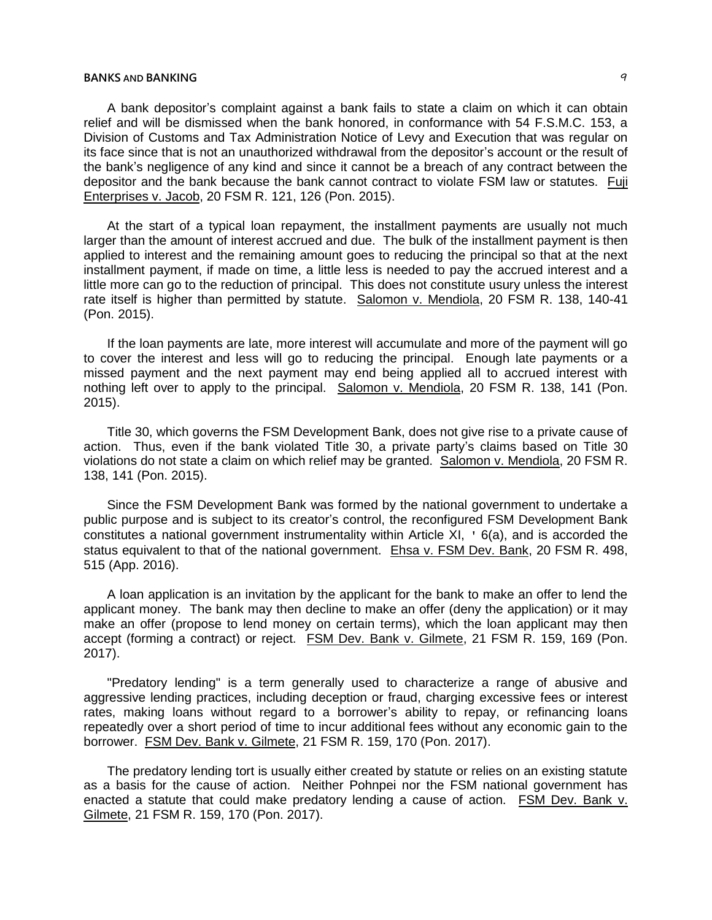# **BANKS** AND **BANKING**  $\begin{bmatrix} q \end{bmatrix}$

A bank depositor's complaint against a bank fails to state a claim on which it can obtain relief and will be dismissed when the bank honored, in conformance with 54 F.S.M.C. 153, a Division of Customs and Tax Administration Notice of Levy and Execution that was regular on its face since that is not an unauthorized withdrawal from the depositor's account or the result of the bank's negligence of any kind and since it cannot be a breach of any contract between the depositor and the bank because the bank cannot contract to violate FSM law or statutes. Fuji Enterprises v. Jacob, 20 FSM R. 121, 126 (Pon. 2015).

At the start of a typical loan repayment, the installment payments are usually not much larger than the amount of interest accrued and due. The bulk of the installment payment is then applied to interest and the remaining amount goes to reducing the principal so that at the next installment payment, if made on time, a little less is needed to pay the accrued interest and a little more can go to the reduction of principal. This does not constitute usury unless the interest rate itself is higher than permitted by statute. Salomon v. Mendiola, 20 FSM R. 138, 140-41 (Pon. 2015).

If the loan payments are late, more interest will accumulate and more of the payment will go to cover the interest and less will go to reducing the principal. Enough late payments or a missed payment and the next payment may end being applied all to accrued interest with nothing left over to apply to the principal. Salomon v. Mendiola, 20 FSM R. 138, 141 (Pon. 2015).

Title 30, which governs the FSM Development Bank, does not give rise to a private cause of action. Thus, even if the bank violated Title 30, a private party's claims based on Title 30 violations do not state a claim on which relief may be granted. Salomon v. Mendiola, 20 FSM R. 138, 141 (Pon. 2015).

Since the FSM Development Bank was formed by the national government to undertake a public purpose and is subject to its creator's control, the reconfigured FSM Development Bank constitutes a national government instrumentality within Article XI, ' 6(a), and is accorded the status equivalent to that of the national government. Ehsa v. FSM Dev. Bank, 20 FSM R. 498, 515 (App. 2016).

A loan application is an invitation by the applicant for the bank to make an offer to lend the applicant money. The bank may then decline to make an offer (deny the application) or it may make an offer (propose to lend money on certain terms), which the loan applicant may then accept (forming a contract) or reject. FSM Dev. Bank v. Gilmete, 21 FSM R. 159, 169 (Pon. 2017).

"Predatory lending" is a term generally used to characterize a range of abusive and aggressive lending practices, including deception or fraud, charging excessive fees or interest rates, making loans without regard to a borrower's ability to repay, or refinancing loans repeatedly over a short period of time to incur additional fees without any economic gain to the borrower. FSM Dev. Bank v. Gilmete, 21 FSM R. 159, 170 (Pon. 2017).

The predatory lending tort is usually either created by statute or relies on an existing statute as a basis for the cause of action. Neither Pohnpei nor the FSM national government has enacted a statute that could make predatory lending a cause of action. FSM Dev. Bank v. Gilmete, 21 FSM R. 159, 170 (Pon. 2017).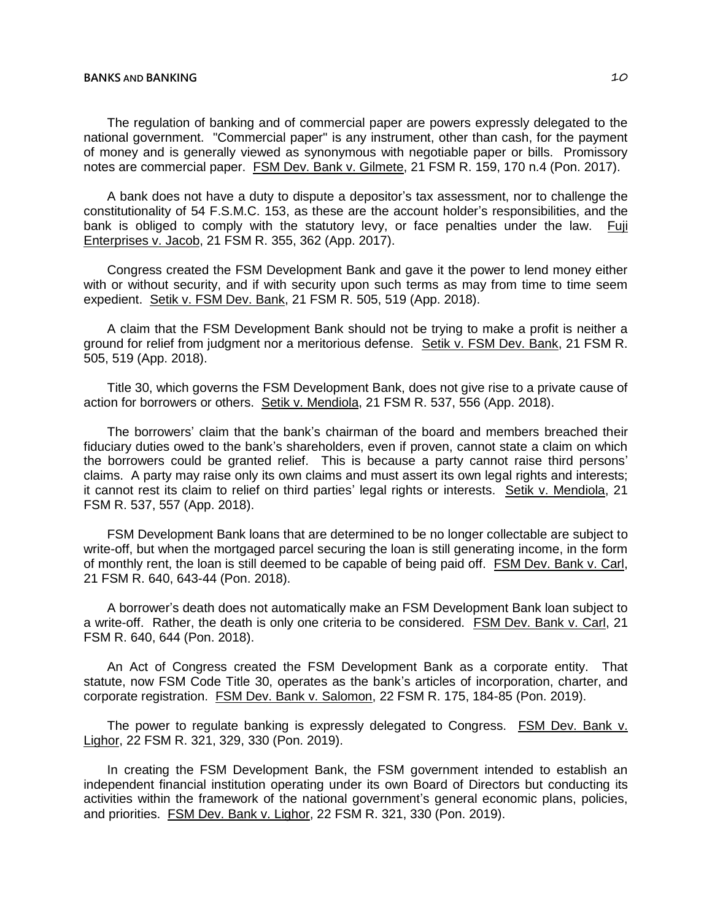The regulation of banking and of commercial paper are powers expressly delegated to the national government. "Commercial paper" is any instrument, other than cash, for the payment of money and is generally viewed as synonymous with negotiable paper or bills. Promissory notes are commercial paper. FSM Dev. Bank v. Gilmete, 21 FSM R. 159, 170 n.4 (Pon. 2017).

A bank does not have a duty to dispute a depositor's tax assessment, nor to challenge the constitutionality of 54 F.S.M.C. 153, as these are the account holder's responsibilities, and the bank is obliged to comply with the statutory levy, or face penalties under the law. Fuji Enterprises v. Jacob, 21 FSM R. 355, 362 (App. 2017).

Congress created the FSM Development Bank and gave it the power to lend money either with or without security, and if with security upon such terms as may from time to time seem expedient. Setik v. FSM Dev. Bank, 21 FSM R. 505, 519 (App. 2018).

A claim that the FSM Development Bank should not be trying to make a profit is neither a ground for relief from judgment nor a meritorious defense. Setik v. FSM Dev. Bank, 21 FSM R. 505, 519 (App. 2018).

Title 30, which governs the FSM Development Bank, does not give rise to a private cause of action for borrowers or others. Setik v. Mendiola, 21 FSM R. 537, 556 (App. 2018).

The borrowers' claim that the bank's chairman of the board and members breached their fiduciary duties owed to the bank's shareholders, even if proven, cannot state a claim on which the borrowers could be granted relief. This is because a party cannot raise third persons' claims. A party may raise only its own claims and must assert its own legal rights and interests; it cannot rest its claim to relief on third parties' legal rights or interests. Setik v. Mendiola, 21 FSM R. 537, 557 (App. 2018).

FSM Development Bank loans that are determined to be no longer collectable are subject to write-off, but when the mortgaged parcel securing the loan is still generating income, in the form of monthly rent, the loan is still deemed to be capable of being paid off. FSM Dev. Bank v. Carl, 21 FSM R. 640, 643-44 (Pon. 2018).

A borrower's death does not automatically make an FSM Development Bank loan subject to a write-off. Rather, the death is only one criteria to be considered. FSM Dev. Bank v. Carl, 21 FSM R. 640, 644 (Pon. 2018).

An Act of Congress created the FSM Development Bank as a corporate entity. That statute, now FSM Code Title 30, operates as the bank's articles of incorporation, charter, and corporate registration. FSM Dev. Bank v. Salomon, 22 FSM R. 175, 184-85 (Pon. 2019).

The power to regulate banking is expressly delegated to Congress. FSM Dev. Bank v. Lighor, 22 FSM R. 321, 329, 330 (Pon. 2019).

In creating the FSM Development Bank, the FSM government intended to establish an independent financial institution operating under its own Board of Directors but conducting its activities within the framework of the national government's general economic plans, policies, and priorities. FSM Dev. Bank v. Lighor, 22 FSM R. 321, 330 (Pon. 2019).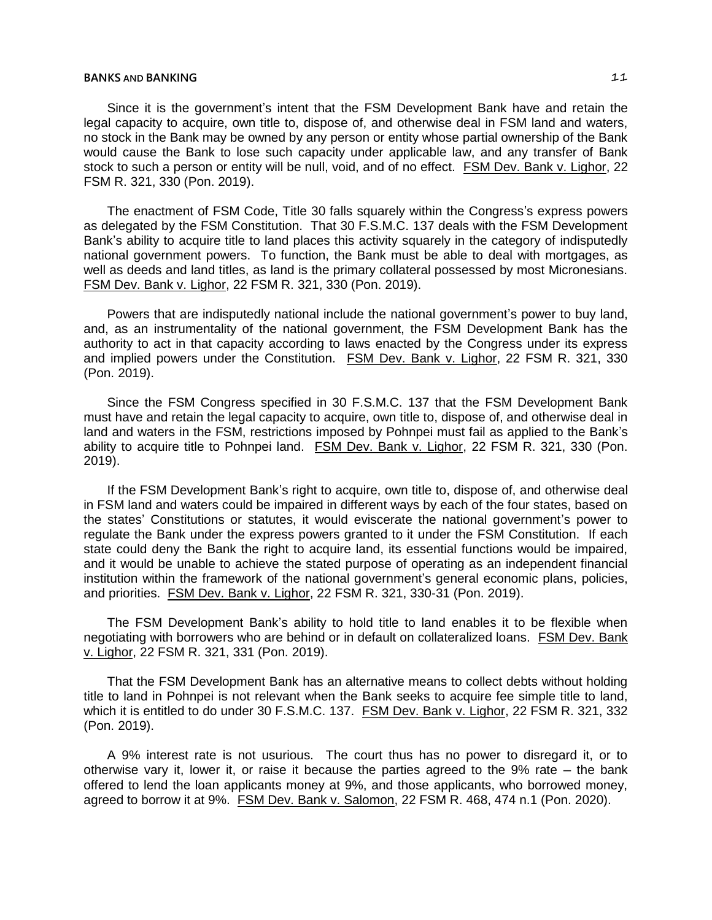Since it is the government's intent that the FSM Development Bank have and retain the legal capacity to acquire, own title to, dispose of, and otherwise deal in FSM land and waters, no stock in the Bank may be owned by any person or entity whose partial ownership of the Bank would cause the Bank to lose such capacity under applicable law, and any transfer of Bank stock to such a person or entity will be null, void, and of no effect. FSM Dev. Bank v. Lighor, 22 FSM R. 321, 330 (Pon. 2019).

The enactment of FSM Code, Title 30 falls squarely within the Congress's express powers as delegated by the FSM Constitution. That 30 F.S.M.C. 137 deals with the FSM Development Bank's ability to acquire title to land places this activity squarely in the category of indisputedly national government powers. To function, the Bank must be able to deal with mortgages, as well as deeds and land titles, as land is the primary collateral possessed by most Micronesians. FSM Dev. Bank v. Lighor, 22 FSM R. 321, 330 (Pon. 2019).

Powers that are indisputedly national include the national government's power to buy land, and, as an instrumentality of the national government, the FSM Development Bank has the authority to act in that capacity according to laws enacted by the Congress under its express and implied powers under the Constitution. FSM Dev. Bank v. Lighor, 22 FSM R. 321, 330 (Pon. 2019).

Since the FSM Congress specified in 30 F.S.M.C. 137 that the FSM Development Bank must have and retain the legal capacity to acquire, own title to, dispose of, and otherwise deal in land and waters in the FSM, restrictions imposed by Pohnpei must fail as applied to the Bank's ability to acquire title to Pohnpei land. FSM Dev. Bank v. Lighor, 22 FSM R. 321, 330 (Pon. 2019).

If the FSM Development Bank's right to acquire, own title to, dispose of, and otherwise deal in FSM land and waters could be impaired in different ways by each of the four states, based on the states' Constitutions or statutes, it would eviscerate the national government's power to regulate the Bank under the express powers granted to it under the FSM Constitution. If each state could deny the Bank the right to acquire land, its essential functions would be impaired, and it would be unable to achieve the stated purpose of operating as an independent financial institution within the framework of the national government's general economic plans, policies, and priorities. FSM Dev. Bank v. Lighor, 22 FSM R. 321, 330-31 (Pon. 2019).

The FSM Development Bank's ability to hold title to land enables it to be flexible when negotiating with borrowers who are behind or in default on collateralized loans. FSM Dev. Bank v. Lighor, 22 FSM R. 321, 331 (Pon. 2019).

That the FSM Development Bank has an alternative means to collect debts without holding title to land in Pohnpei is not relevant when the Bank seeks to acquire fee simple title to land, which it is entitled to do under 30 F.S.M.C. 137. FSM Dev. Bank v. Lighor, 22 FSM R. 321, 332 (Pon. 2019).

A 9% interest rate is not usurious. The court thus has no power to disregard it, or to otherwise vary it, lower it, or raise it because the parties agreed to the  $9\%$  rate  $-$  the bank offered to lend the loan applicants money at 9%, and those applicants, who borrowed money, agreed to borrow it at 9%. FSM Dev. Bank v. Salomon, 22 FSM R. 468, 474 n.1 (Pon. 2020).